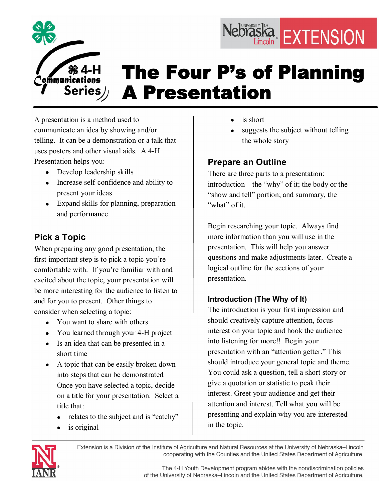

# The Four P's of Planning A Presentation

A presentation is a method used to communicate an idea by showing and/or telling. It can be a demonstration or a talk that uses posters and other visual aids. A 4H Presentation helps you:

- Develop leadership skills
- Increase self-confidence and ability to present your ideas
- Expand skills for planning, preparation and performance

# **Pick a Topic**

When preparing any good presentation, the first important step is to pick a topic you're comfortable with. If you're familiar with and excited about the topic, your presentation will be more interesting for the audience to listen to and for you to present. Other things to consider when selecting a topic:

- You want to share with others
- You learned through your 4-H project
- · Is an idea that can be presented in a short time
- A topic that can be easily broken down into steps that can be demonstrated Once you have selected a topic, decide on a title for your presentation. Select a title that:
	- relates to the subject and is "catchy"
	- is original
- is short
- suggests the subject without telling the whole story

Nebraska EXTENSION

# **Prepare an Outline**

There are three parts to a presentation: introduction—the "why" of it; the body or the "show and tell" portion; and summary, the "what" of it.

Begin researching your topic. Always find more information than you will use in the presentation. This will help you answer questions and make adjustments later. Create a logical outline for the sections of your presentation.

# **Introduction (The Why of It)**

The introduction is your first impression and should creatively capture attention, focus interest on your topic and hook the audience into listening for more!! Begin your presentation with an "attention getter." This should introduce your general topic and theme. You could ask a question, tell a short story or give a quotation or statistic to peak their interest. Greet your audience and get their attention and interest. Tell what you will be presenting and explain why you are interested in the topic.



Extension is a Division of the Institute of Agriculture and Natural Resources at the University of Nebraska-Lincoln cooperating with the Counties and the United States Department of Agriculture.

> The 4-H Youth Development program abides with the nondiscrimination policies of the University of Nebraska-Lincoln and the United States Department of Agriculture.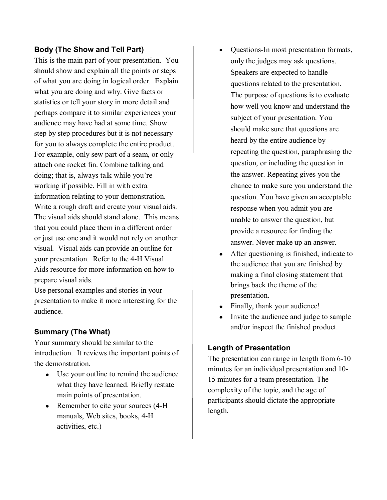## **Body (The Show and Tell Part)**

This is the main part of your presentation. You should show and explain all the points or steps of what you are doing in logical order. Explain what you are doing and why. Give facts or statistics or tell your story in more detail and perhaps compare it to similar experiences your audience may have had at some time. Show step by step procedures but it is not necessary for you to always complete the entire product. For example, only sew part of a seam, or only attach one rocket fin. Combine talking and doing; that is, always talk while you're working if possible. Fill in with extra information relating to your demonstration. Write a rough draft and create your visual aids. The visual aids should stand alone. This means that you could place them in a different order or just use one and it would not rely on another visual. Visual aids can provide an outline for your presentation. Refer to the 4-H Visual Aids resource for more information on how to prepare visual aids.

Use personal examples and stories in your presentation to make it more interesting for the audience.

## **Summary (The What)**

Your summary should be similar to the introduction. It reviews the important points of the demonstration.

- Use your outline to remind the audience what they have learned. Briefly restate main points of presentation.
- Remember to cite your sources (4-H) manuals, Web sites, books, 4-H activities, etc.)
- Questions-In most presentation formats, only the judges may ask questions. Speakers are expected to handle questions related to the presentation. The purpose of questions is to evaluate how well you know and understand the subject of your presentation. You should make sure that questions are heard by the entire audience by repeating the question, paraphrasing the question, or including the question in the answer. Repeating gives you the chance to make sure you understand the question. You have given an acceptable response when you admit you are unable to answer the question, but provide a resource for finding the answer. Never make up an answer.
- After questioning is finished, indicate to the audience that you are finished by making a final closing statement that brings back the theme of the presentation.
- Finally, thank your audience!
- · Invite the audience and judge to sample and/or inspect the finished product.

#### **Length of Presentation**

The presentation can range in length from 6-10 minutes for an individual presentation and 10 15 minutes for a team presentation. The complexity of the topic, and the age of participants should dictate the appropriate length.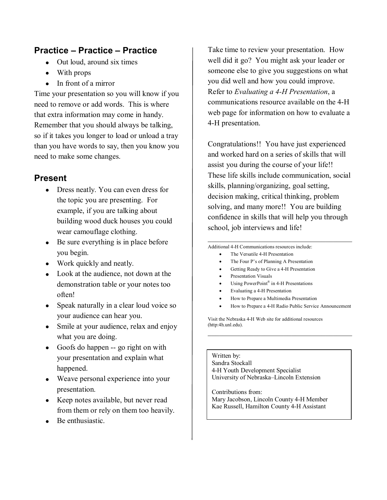# **Practice – Practice – Practice**

- Out loud, around six times
- · With props
- In front of a mirror

Time your presentation so you will know if you need to remove or add words. This is where that extra information may come in handy. Remember that you should always be talking, so if it takes you longer to load or unload a tray than you have words to say, then you know you need to make some changes.

# **Present**

- Dress neatly. You can even dress for the topic you are presenting. For example, if you are talking about building wood duck houses you could wear camouflage clothing.
- Be sure everything is in place before you begin.
- Work quickly and neatly.
- Look at the audience, not down at the demonstration table or your notes too often!
- Speak naturally in a clear loud voice so your audience can hear you.
- Smile at your audience, relax and enjoy what you are doing.
- Goofs do happen -- go right on with your presentation and explain what happened.
- · Weave personal experience into your presentation.
- Keep notes available, but never read from them or rely on them too heavily.
- Be enthusiastic.

Take time to review your presentation. How well did it go? You might ask your leader or someone else to give you suggestions on what you did well and how you could improve. Refer to *Evaluating a 4H Presentation*, a communications resource available on the 4H web page for information on how to evaluate a 4-H presentation.

Congratulations!! You have just experienced and worked hard on a series of skills that will assist you during the course of your life!! These life skills include communication, social skills, planning/organizing, goal setting, decision making, critical thinking, problem solving, and many more!! You are building confidence in skills that will help you through school, job interviews and life!

Additional 4H Communications resources include:

- The Versatile 4-H Presentation
- The Four P's of Planning A Presentation
- Getting Ready to Give a 4-H Presentation
- Presentation Visuals
- Using PowerPoint<sup>®</sup> in 4-H Presentations
- Evaluating a 4-H Presentation
- · How to Prepare a Multimedia Presentation
- How to Prepare a 4-H Radio Public Service Announcement

 $\mathcal{L}_\mathcal{L}$  , and the set of the set of the set of the set of the set of the set of the set of the set of the set of the set of the set of the set of the set of the set of the set of the set of the set of the set of th

 $\mathcal{L}_\mathcal{L}$  , and the set of the set of the set of the set of the set of the set of the set of the set of the set of the set of the set of the set of the set of the set of the set of the set of the set of the set of th

Visit the Nebraska 4H Web site for additional resources (http:4h.unl.edu).

Written by: Sandra Stockall 4H Youth Development Specialist University of Nebraska–Lincoln Extension

Contributions from: Mary Jacobson, Lincoln County 4H Member Kae Russell, Hamilton County 4-H Assistant